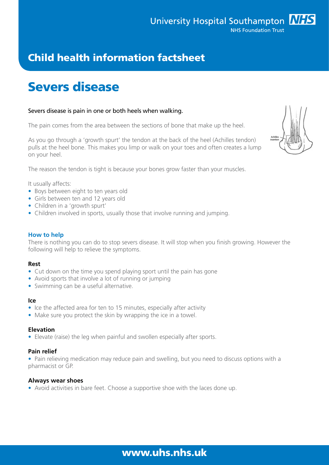### www.uhs.nhs.uk

## Child health information factsheet

# Severs disease

#### Severs disease is pain in one or both heels when walking.

The pain comes from the area between the sections of bone that make up the heel.

As you go through a 'growth spurt' the tendon at the back of the heel (Achilles tendon) pulls at the heel bone. This makes you limp or walk on your toes and often creates a lump on your heel.

The reason the tendon is tight is because your bones grow faster than your muscles.

It usually affects:

- Boys between eight to ten years old
- Girls between ten and 12 years old
- Children in a 'growth spurt'
- Children involved in sports, usually those that involve running and jumping.

#### **How to help**

There is nothing you can do to stop severs disease. It will stop when you finish growing. However the following will help to relieve the symptoms.

#### **Rest**

- Cut down on the time you spend playing sport until the pain has gone
- Avoid sports that involve a lot of running or jumping
- Swimming can be a useful alternative.

#### **Ice**

- Ice the affected area for ten to 15 minutes, especially after activity
- Make sure you protect the skin by wrapping the ice in a towel.

#### **Elevation**

• Elevate (raise) the leg when painful and swollen especially after sports.

#### **Pain relief**

• Pain relieving medication may reduce pain and swelling, but you need to discuss options with a pharmacist or GP.

#### **Always wear shoes**

• Avoid activities in bare feet. Choose a supportive shoe with the laces done up.